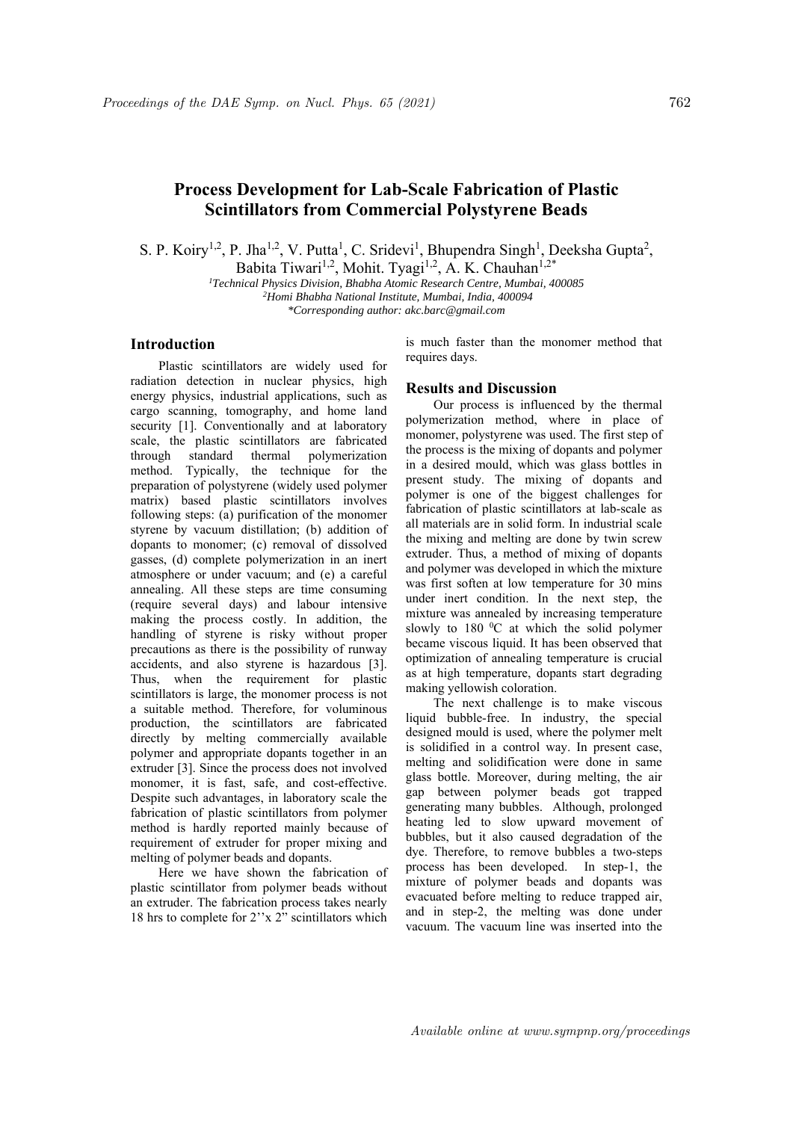## **Process Development for Lab-Scale Fabrication of Plastic Scintillators from Commercial Polystyrene Beads**

S. P. Koiry<sup>1,2</sup>, P. Jha<sup>1,2</sup>, V. Putta<sup>1</sup>, C. Sridevi<sup>1</sup>, Bhupendra Singh<sup>1</sup>, Deeksha Gupta<sup>2</sup>,

Babita Tiwari<sup>1,2</sup>, Mohit. Tyagi<sup>1,2</sup>, A. K. Chauhan<sup>1,2\*</sup>

*1 Technical Physics Division, Bhabha Atomic Research Centre, Mumbai, 400085 2 Homi Bhabha National Institute, Mumbai, India, 400094* 

*\*Corresponding author: akc.barc@gmail.com* 

## **Introduction**

Plastic scintillators are widely used for radiation detection in nuclear physics, high energy physics, industrial applications, such as cargo scanning, tomography, and home land security [1]. Conventionally and at laboratory scale, the plastic scintillators are fabricated through standard thermal polymerization method. Typically, the technique for the preparation of polystyrene (widely used polymer matrix) based plastic scintillators involves following steps: (a) purification of the monomer styrene by vacuum distillation; (b) addition of dopants to monomer; (c) removal of dissolved gasses, (d) complete polymerization in an inert atmosphere or under vacuum; and (e) a careful annealing. All these steps are time consuming (require several days) and labour intensive making the process costly. In addition, the handling of styrene is risky without proper precautions as there is the possibility of runway accidents, and also styrene is hazardous [3]. Thus, when the requirement for plastic scintillators is large, the monomer process is not a suitable method. Therefore, for voluminous production, the scintillators are fabricated directly by melting commercially available polymer and appropriate dopants together in an extruder [3]. Since the process does not involved monomer, it is fast, safe, and cost-effective. Despite such advantages, in laboratory scale the fabrication of plastic scintillators from polymer method is hardly reported mainly because of requirement of extruder for proper mixing and melting of polymer beads and dopants.

Here we have shown the fabrication of plastic scintillator from polymer beads without an extruder. The fabrication process takes nearly 18 hrs to complete for 2''x 2" scintillators which

is much faster than the monomer method that requires days.

## **Results and Discussion**

Our process is influenced by the thermal polymerization method, where in place of monomer, polystyrene was used. The first step of the process is the mixing of dopants and polymer in a desired mould, which was glass bottles in present study. The mixing of dopants and polymer is one of the biggest challenges for fabrication of plastic scintillators at lab-scale as all materials are in solid form. In industrial scale the mixing and melting are done by twin screw extruder. Thus, a method of mixing of dopants and polymer was developed in which the mixture was first soften at low temperature for 30 mins under inert condition. In the next step, the mixture was annealed by increasing temperature slowly to  $180\text{ °C}$  at which the solid polymer became viscous liquid. It has been observed that optimization of annealing temperature is crucial as at high temperature, dopants start degrading making yellowish coloration.

The next challenge is to make viscous liquid bubble-free. In industry, the special designed mould is used, where the polymer melt is solidified in a control way. In present case, melting and solidification were done in same glass bottle. Moreover, during melting, the air gap between polymer beads got trapped generating many bubbles. Although, prolonged heating led to slow upward movement of bubbles, but it also caused degradation of the dye. Therefore, to remove bubbles a two-steps process has been developed. In step-1, the mixture of polymer beads and dopants was evacuated before melting to reduce trapped air, and in step-2, the melting was done under vacuum. The vacuum line was inserted into the